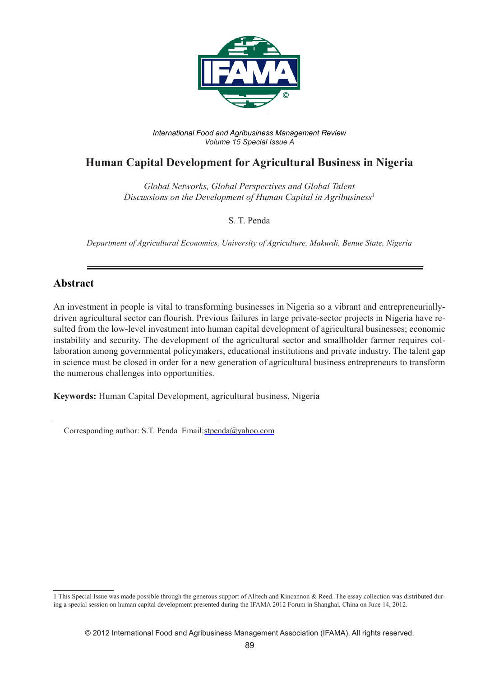

*International Food and Agribusiness Management Review Volume 15 Special Issue A*

# **Human Capital Development for Agricultural Business in Nigeria**

*Global Networks, Global Perspectives and Global Talent Discussions on the Development of Human Capital in Agribusiness1*

S. T. Penda

*Department of Agricultural Economics, University of Agriculture, Makurdi, Benue State, Nigeria*

### **Abstract**

An investment in people is vital to transforming businesses in Nigeria so a vibrant and entrepreneuriallydriven agricultural sector can flourish. Previous failures in large private-sector projects in Nigeria have resulted from the low-level investment into human capital development of agricultural businesses; economic instability and security. The development of the agricultural sector and smallholder farmer requires collaboration among governmental policymakers, educational institutions and private industry. The talent gap in science must be closed in order for a new generation of agricultural business entrepreneurs to transform the numerous challenges into opportunities.

**Keywords:** Human Capital Development, agricultural business, Nigeria

Corresponding author: S.T. Penda Email:stpenda@yahoo.com

<sup>1</sup> This Special Issue was made possible through the generous support of Alltech and Kincannon & Reed. The essay collection was distributed during a special session on human capital development presented during the IFAMA 2012 Forum in Shanghai, China on June 14, 2012.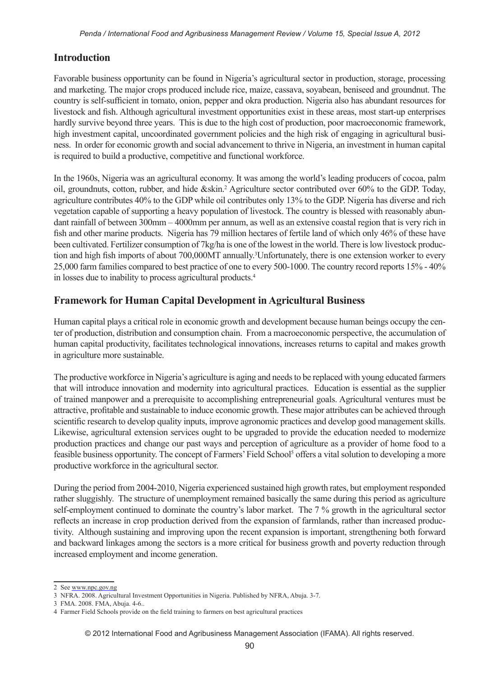# **Introduction**

Favorable business opportunity can be found in Nigeria's agricultural sector in production, storage, processing and marketing. The major crops produced include rice, maize, cassava, soyabean, beniseed and groundnut. The country is self-sufficient in tomato, onion, pepper and okra production. Nigeria also has abundant resources for livestock and fish. Although agricultural investment opportunities exist in these areas, most start-up enterprises hardly survive beyond three years. This is due to the high cost of production, poor macroeconomic framework, high investment capital, uncoordinated government policies and the high risk of engaging in agricultural business. In order for economic growth and social advancement to thrive in Nigeria, an investment in human capital is required to build a productive, competitive and functional workforce.

In the 1960s, Nigeria was an agricultural economy. It was among the world's leading producers of cocoa, palm oil, groundnuts, cotton, rubber, and hide & skin.<sup>2</sup> Agriculture sector contributed over 60% to the GDP. Today, agriculture contributes 40% to the GDP while oil contributes only 13% to the GDP. Nigeria has diverse and rich vegetation capable of supporting a heavy population of livestock. The country is blessed with reasonably abundant rainfall of between 300mm – 4000mm per annum, as well as an extensive coastal region that is very rich in fish and other marine products. Nigeria has 79 million hectares of fertile land of which only 46% of these have been cultivated. Fertilizer consumption of 7kg/ha is one of the lowest in the world. There is low livestock production and high fish imports of about 700,000MT annually.<sup>3</sup>Unfortunately, there is one extension worker to every 25,000 farm families compared to best practice of one to every 500-1000. The country record reports 15% - 40% in losses due to inability to process agricultural products.4

# **Framework for Human Capital Development in Agricultural Business**

Human capital plays a critical role in economic growth and development because human beings occupy the center of production, distribution and consumption chain. From a macroeconomic perspective, the accumulation of human capital productivity, facilitates technological innovations, increases returns to capital and makes growth in agriculture more sustainable.

The productive workforce in Nigeria's agriculture is aging and needs to be replaced with young educated farmers that will introduce innovation and modernity into agricultural practices. Education is essential as the supplier of trained manpower and a prerequisite to accomplishing entrepreneurial goals. Agricultural ventures must be attractive, profitable and sustainable to induce economic growth. These major attributes can be achieved through scientific research to develop quality inputs, improve agronomic practices and develop good management skills. Likewise, agricultural extension services ought to be upgraded to provide the education needed to modernize production practices and change our past ways and perception of agriculture as a provider of home food to a feasible business opportunity. The concept of Farmers' Field School<sup>5</sup> offers a vital solution to developing a more productive workforce in the agricultural sector.

During the period from 2004-2010, Nigeria experienced sustained high growth rates, but employment responded rather sluggishly. The structure of unemployment remained basically the same during this period as agriculture self-employment continued to dominate the country's labor market. The 7 % growth in the agricultural sector reflects an increase in crop production derived from the expansion of farmlands, rather than increased productivity. Although sustaining and improving upon the recent expansion is important, strengthening both forward and backward linkages among the sectors is a more critical for business growth and poverty reduction through increased employment and income generation.

<sup>2</sup> See www.npc.gov.ng

<sup>3</sup> NFRA. 2008. Agricultural Investment Opportunities in Nigeria. Published by NFRA, Abuja. 3-7.

<sup>3</sup> FMA. 2008. FMA, Abuja. 4-6..

<sup>4</sup> Farmer Field Schools provide on the field training to farmers on best agricultural practices